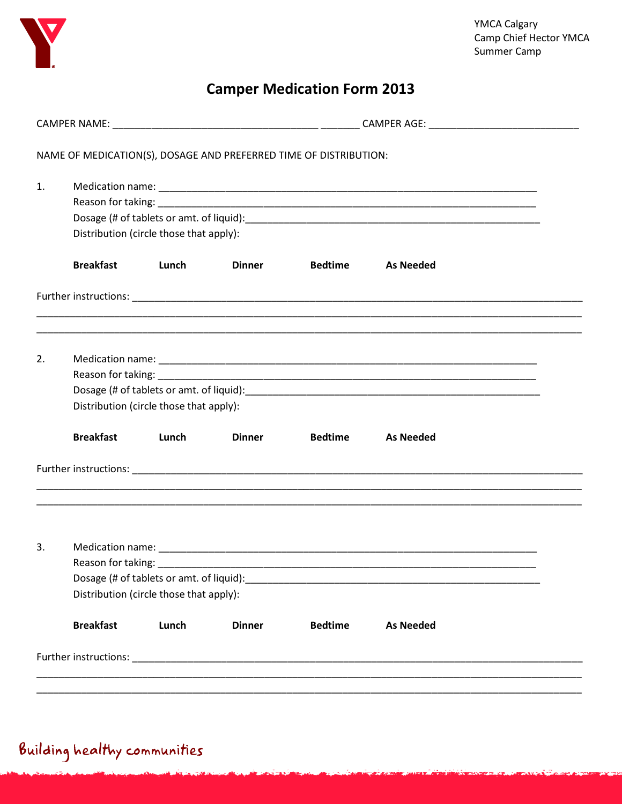

## **Camper Medication Form 2013**

|    |                                                               |       |               | NAME OF MEDICATION(S), DOSAGE AND PREFERRED TIME OF DISTRIBUTION: |                                                                                   |  |  |  |  |  |
|----|---------------------------------------------------------------|-------|---------------|-------------------------------------------------------------------|-----------------------------------------------------------------------------------|--|--|--|--|--|
| 1. | Distribution (circle those that apply):                       |       |               |                                                                   |                                                                                   |  |  |  |  |  |
|    | <b>Breakfast</b>                                              | Lunch | <b>Dinner</b> | <b>Bedtime</b>                                                    | <b>As Needed</b>                                                                  |  |  |  |  |  |
|    |                                                               |       |               |                                                                   |                                                                                   |  |  |  |  |  |
| 2. | Distribution (circle those that apply):                       |       |               |                                                                   |                                                                                   |  |  |  |  |  |
|    | <b>Breakfast</b>                                              | Lunch | <b>Dinner</b> | <b>Bedtime</b>                                                    | <b>As Needed</b>                                                                  |  |  |  |  |  |
|    |                                                               |       |               |                                                                   | ,我们也不能在这里的人,我们也不能在这里的人,我们也不能在这里的人,我们也不能在这里的人,我们也不能在这里的人,我们也不能在这里的人,我们也不能在这里的人,我们也 |  |  |  |  |  |
| 3. | Reason for taking:<br>Distribution (circle those that apply): |       |               |                                                                   |                                                                                   |  |  |  |  |  |
|    | <b>Breakfast</b>                                              | Lunch | <b>Dinner</b> | <b>Bedtime</b>                                                    | <b>As Needed</b>                                                                  |  |  |  |  |  |
|    |                                                               |       |               |                                                                   |                                                                                   |  |  |  |  |  |

## Building healthy communities